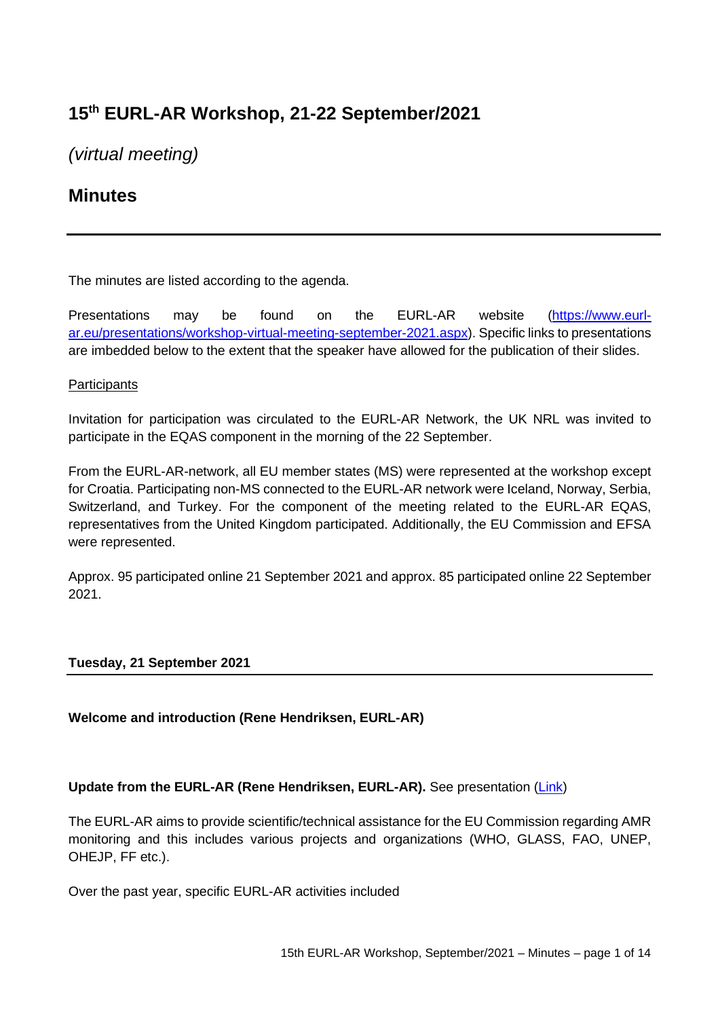# **15th EURL-AR Workshop, 21-22 September/2021**

*(virtual meeting)*

# **Minutes**

The minutes are listed according to the agenda.

Presentations may be found on the EURL-AR website [\(https://www.eurl](https://www.eurl-ar.eu/presentations/workshop-virtual-meeting-september-2021.aspx)[ar.eu/presentations/workshop-virtual-meeting-september-2021.aspx\)](https://www.eurl-ar.eu/presentations/workshop-virtual-meeting-september-2021.aspx). Specific links to presentations are imbedded below to the extent that the speaker have allowed for the publication of their slides.

## **Participants**

Invitation for participation was circulated to the EURL-AR Network, the UK NRL was invited to participate in the EQAS component in the morning of the 22 September.

From the EURL-AR-network, all EU member states (MS) were represented at the workshop except for Croatia. Participating non-MS connected to the EURL-AR network were Iceland, Norway, Serbia, Switzerland, and Turkey. For the component of the meeting related to the EURL-AR EQAS, representatives from the United Kingdom participated. Additionally, the EU Commission and EFSA were represented.

Approx. 95 participated online 21 September 2021 and approx. 85 participated online 22 September 2021.

#### **Tuesday, 21 September 2021**

## **Welcome and introduction (Rene Hendriksen, EURL-AR)**

#### **Update from the EURL-AR (Rene Hendriksen, EURL-AR).** See presentation [\(Link\)](https://www.eurl-ar.eu/CustomerData/Files/Folders/36-workshop-2021-september-virtual-meeting/602_1-eurl-update-2021.pdf)

The EURL-AR aims to provide scientific/technical assistance for the EU Commission regarding AMR monitoring and this includes various projects and organizations (WHO, GLASS, FAO, UNEP, OHEJP, FF etc.).

Over the past year, specific EURL-AR activities included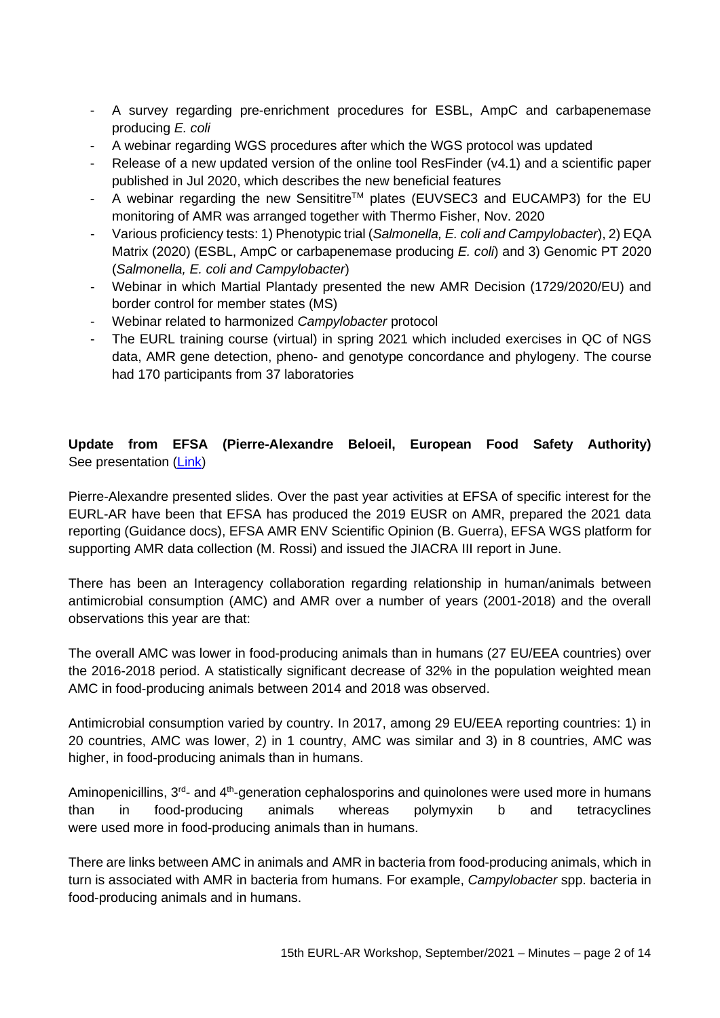- A survey regarding pre-enrichment procedures for ESBL, AmpC and carbapenemase producing *E. coli*
- A webinar regarding WGS procedures after which the WGS protocol was updated
- Release of a new updated version of the online tool ResFinder (v4.1) and a scientific paper published in Jul 2020, which describes the new beneficial features
- A webinar regarding the new Sensititre™ plates (EUVSEC3 and EUCAMP3) for the EU monitoring of AMR was arranged together with Thermo Fisher, Nov. 2020
- Various proficiency tests: 1) Phenotypic trial (*Salmonella, E. coli and Campylobacter*), 2) EQA Matrix (2020) (ESBL, AmpC or carbapenemase producing *E. coli*) and 3) Genomic PT 2020 (*Salmonella, E. coli and Campylobacter*)
- Webinar in which Martial Plantady presented the new AMR Decision (1729/2020/EU) and border control for member states (MS)
- Webinar related to harmonized *Campylobacter* protocol
- The EURL training course (virtual) in spring 2021 which included exercises in QC of NGS data, AMR gene detection, pheno- and genotype concordance and phylogeny. The course had 170 participants from 37 laboratories

**Update from EFSA (Pierre-Alexandre Beloeil, European Food Safety Authority)** See presentation [\(Link\)](https://www.eurl-ar.eu/CustomerData/Files/Folders/36-workshop-2021-september-virtual-meeting/609_2-update-from-efsa.pdf)

Pierre-Alexandre presented slides. Over the past year activities at EFSA of specific interest for the EURL-AR have been that EFSA has produced the 2019 EUSR on AMR, prepared the 2021 data reporting (Guidance docs), EFSA AMR ENV Scientific Opinion (B. Guerra), EFSA WGS platform for supporting AMR data collection (M. Rossi) and issued the JIACRA III report in June.

There has been an Interagency collaboration regarding relationship in human/animals between antimicrobial consumption (AMC) and AMR over a number of years (2001-2018) and the overall observations this year are that:

The overall AMC was lower in food-producing animals than in humans (27 EU/EEA countries) over the 2016-2018 period. A statistically significant decrease of 32% in the population weighted mean AMC in food-producing animals between 2014 and 2018 was observed.

Antimicrobial consumption varied by country. In 2017, among 29 EU/EEA reporting countries: 1) in 20 countries, AMC was lower, 2) in 1 country, AMC was similar and 3) in 8 countries, AMC was higher, in food-producing animals than in humans.

Aminopenicillins,  $3<sup>rd</sup>$  and  $4<sup>th</sup>$ -generation cephalosporins and quinolones were used more in humans than in food-producing animals whereas polymyxin b and tetracyclines were used more in food-producing animals than in humans.

There are links between AMC in animals and AMR in bacteria from food-producing animals, which in turn is associated with AMR in bacteria from humans. For example, *Campylobacter* spp. bacteria in food-producing animals and in humans.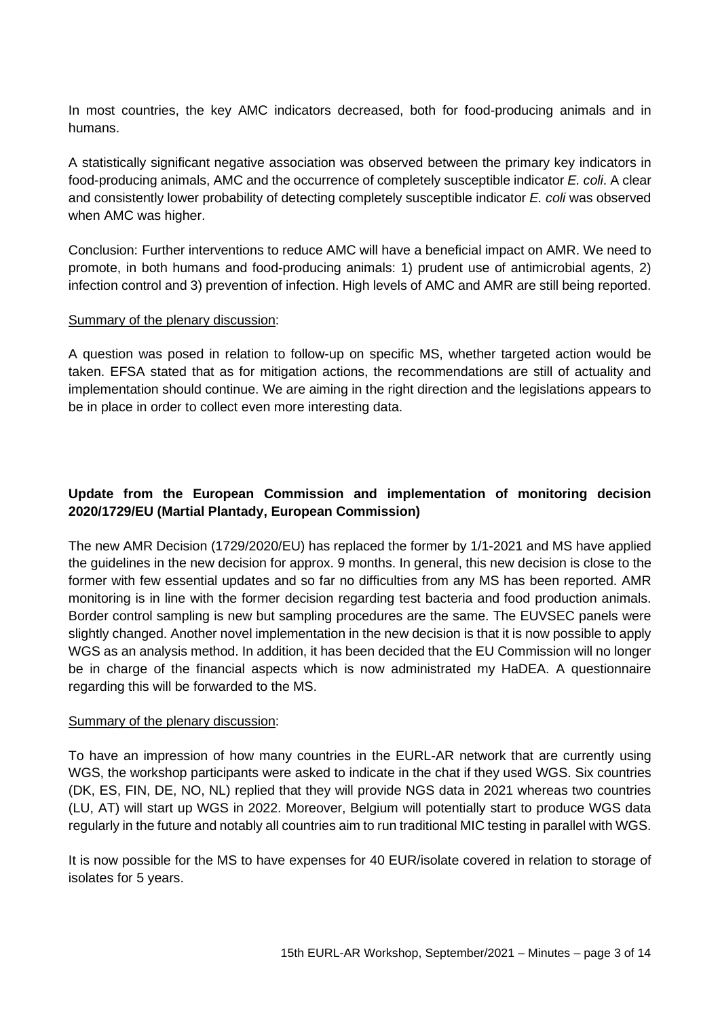In most countries, the key AMC indicators decreased, both for food-producing animals and in humans.

A statistically significant negative association was observed between the primary key indicators in food-producing animals, AMC and the occurrence of completely susceptible indicator *E. coli*. A clear and consistently lower probability of detecting completely susceptible indicator *E. coli* was observed when AMC was higher.

Conclusion: Further interventions to reduce AMC will have a beneficial impact on AMR. We need to promote, in both humans and food-producing animals: 1) prudent use of antimicrobial agents, 2) infection control and 3) prevention of infection. High levels of AMC and AMR are still being reported.

#### Summary of the plenary discussion:

A question was posed in relation to follow-up on specific MS, whether targeted action would be taken. EFSA stated that as for mitigation actions, the recommendations are still of actuality and implementation should continue. We are aiming in the right direction and the legislations appears to be in place in order to collect even more interesting data.

## **Update from the European Commission and implementation of monitoring decision 2020/1729/EU (Martial Plantady, European Commission)**

The new AMR Decision (1729/2020/EU) has replaced the former by 1/1-2021 and MS have applied the guidelines in the new decision for approx. 9 months. In general, this new decision is close to the former with few essential updates and so far no difficulties from any MS has been reported. AMR monitoring is in line with the former decision regarding test bacteria and food production animals. Border control sampling is new but sampling procedures are the same. The EUVSEC panels were slightly changed. Another novel implementation in the new decision is that it is now possible to apply WGS as an analysis method. In addition, it has been decided that the EU Commission will no longer be in charge of the financial aspects which is now administrated my HaDEA. A questionnaire regarding this will be forwarded to the MS.

#### Summary of the plenary discussion:

To have an impression of how many countries in the EURL-AR network that are currently using WGS, the workshop participants were asked to indicate in the chat if they used WGS. Six countries (DK, ES, FIN, DE, NO, NL) replied that they will provide NGS data in 2021 whereas two countries (LU, AT) will start up WGS in 2022. Moreover, Belgium will potentially start to produce WGS data regularly in the future and notably all countries aim to run traditional MIC testing in parallel with WGS.

It is now possible for the MS to have expenses for 40 EUR/isolate covered in relation to storage of isolates for 5 years.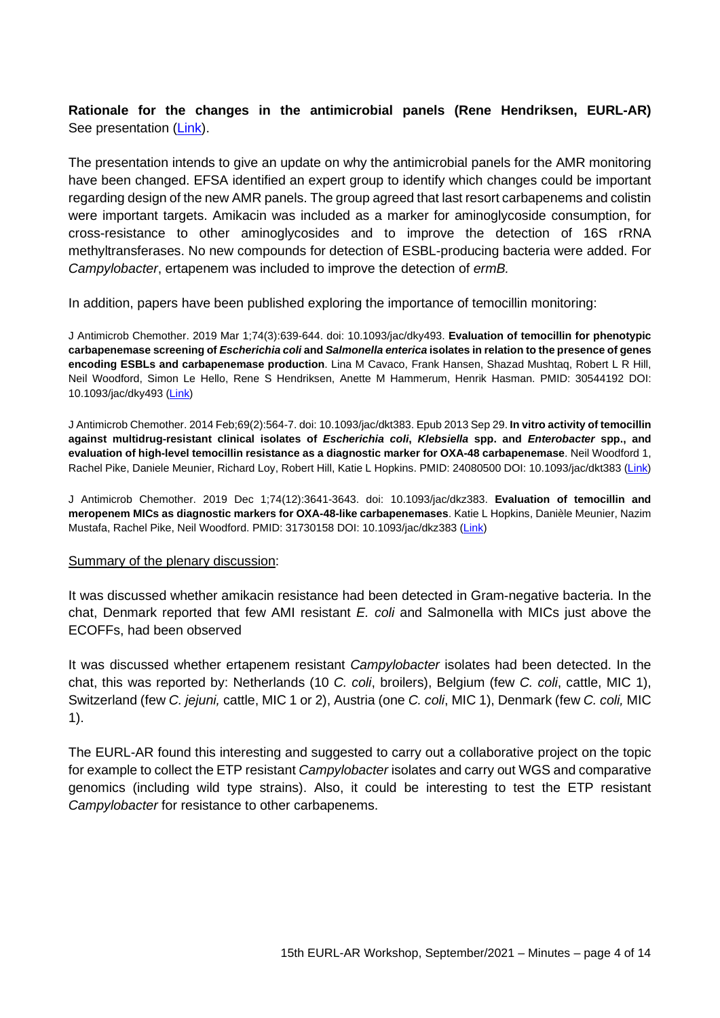**Rationale for the changes in the antimicrobial panels (Rene Hendriksen, EURL-AR)** See presentation [\(Link\)](https://www.eurl-ar.eu/CustomerData/Files/Folders/36-workshop-2021-september-virtual-meeting/603_4-eurl-ws-2021-plate-design.pdf).

The presentation intends to give an update on why the antimicrobial panels for the AMR monitoring have been changed. EFSA identified an expert group to identify which changes could be important regarding design of the new AMR panels. The group agreed that last resort carbapenems and colistin were important targets. Amikacin was included as a marker for aminoglycoside consumption, for cross-resistance to other aminoglycosides and to improve the detection of 16S rRNA methyltransferases. No new compounds for detection of ESBL-producing bacteria were added. For *Campylobacter*, ertapenem was included to improve the detection of *ermB.*

In addition, papers have been published exploring the importance of temocillin monitoring:

J Antimicrob Chemother. 2019 Mar 1;74(3):639-644. doi: 10.1093/jac/dky493. **Evaluation of temocillin for phenotypic carbapenemase screening of** *Escherichia coli* **and** *Salmonella enterica* **isolates in relation to the presence of genes encoding ESBLs and carbapenemase production**. Lina M Cavaco, Frank Hansen, Shazad Mushtaq, Robert L R Hill, Neil Woodford, Simon Le Hello, Rene S Hendriksen, Anette M Hammerum, Henrik Hasman. PMID: 30544192 DOI: 10.1093/jac/dky493 [\(Link\)](https://pubmed.ncbi.nlm.nih.gov/30544192/)

J Antimicrob Chemother. 2014 Feb;69(2):564-7. doi: 10.1093/jac/dkt383. Epub 2013 Sep 29. **In vitro activity of temocillin against multidrug-resistant clinical isolates of** *Escherichia coli***,** *Klebsiella* **spp. and** *Enterobacter* **spp., and evaluation of high-level temocillin resistance as a diagnostic marker for OXA-48 carbapenemase**. Neil Woodford 1, Rachel Pike, Daniele Meunier, Richard Loy, Robert Hill, Katie L Hopkins. PMID: 24080500 DOI: 10.1093/jac/dkt383 [\(Link\)](https://pubmed.ncbi.nlm.nih.gov/24080500/)

J Antimicrob Chemother. 2019 Dec 1;74(12):3641-3643. doi: 10.1093/jac/dkz383. **Evaluation of temocillin and meropenem MICs as diagnostic markers for OXA-48-like carbapenemases**. Katie L Hopkins, Danièle Meunier, Nazim Mustafa, Rachel Pike, Neil Woodford. PMID: 31730158 DOI: 10.1093/jac/dkz383 [\(Link\)](https://pubmed.ncbi.nlm.nih.gov/31730158/)

#### Summary of the plenary discussion:

It was discussed whether amikacin resistance had been detected in Gram-negative bacteria. In the chat, Denmark reported that few AMI resistant *E. coli* and Salmonella with MICs just above the ECOFFs, had been observed

It was discussed whether ertapenem resistant *Campylobacter* isolates had been detected. In the chat, this was reported by: Netherlands (10 *C. coli*, broilers), Belgium (few *C. coli*, cattle, MIC 1), Switzerland (few *C. jejuni,* cattle, MIC 1 or 2), Austria (one *C. coli*, MIC 1), Denmark (few *C. coli,* MIC 1).

The EURL-AR found this interesting and suggested to carry out a collaborative project on the topic for example to collect the ETP resistant *Campylobacter* isolates and carry out WGS and comparative genomics (including wild type strains). Also, it could be interesting to test the ETP resistant *Campylobacter* for resistance to other carbapenems.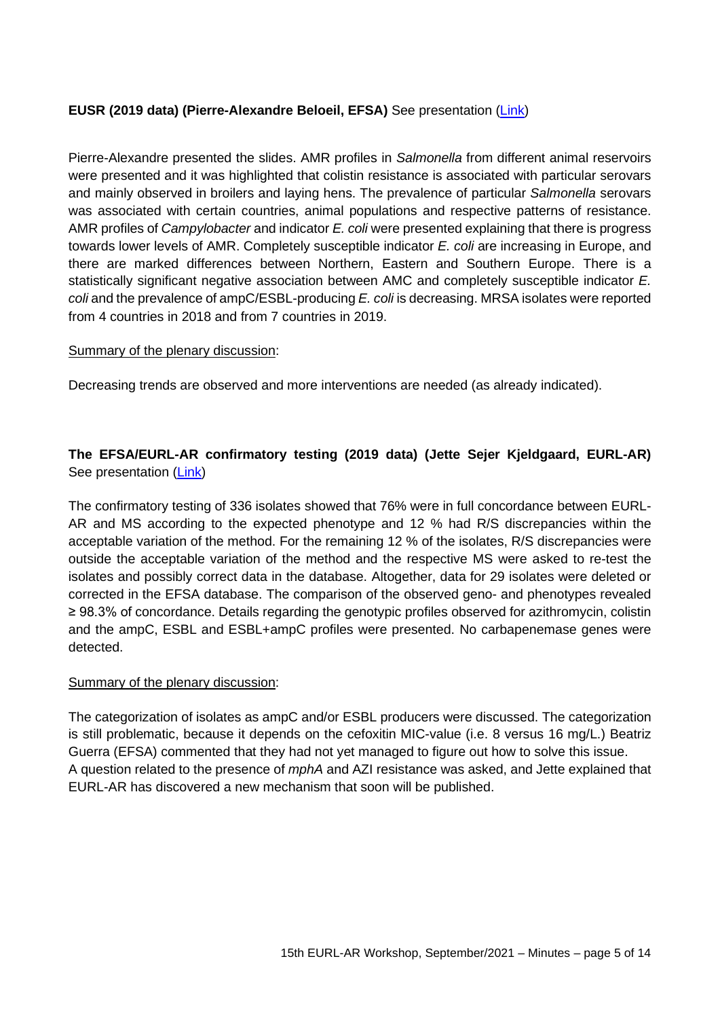## **EUSR (2019 data) (Pierre-Alexandre Beloeil, EFSA)** See presentation [\(Link\)](https://www.eurl-ar.eu/CustomerData/Files/Folders/36-workshop-2021-september-virtual-meeting/610_5-2019-eusr-on-amr-c.pdf)

Pierre-Alexandre presented the slides. AMR profiles in *Salmonella* from different animal reservoirs were presented and it was highlighted that colistin resistance is associated with particular serovars and mainly observed in broilers and laying hens. The prevalence of particular *Salmonella* serovars was associated with certain countries, animal populations and respective patterns of resistance. AMR profiles of *Campylobacter* and indicator *E. coli* were presented explaining that there is progress towards lower levels of AMR. Completely susceptible indicator *E. coli* are increasing in Europe, and there are marked differences between Northern, Eastern and Southern Europe. There is a statistically significant negative association between AMC and completely susceptible indicator *E. coli* and the prevalence of ampC/ESBL-producing *E. coli* is decreasing. MRSA isolates were reported from 4 countries in 2018 and from 7 countries in 2019.

#### Summary of the plenary discussion:

Decreasing trends are observed and more interventions are needed (as already indicated).

# **The EFSA/EURL-AR confirmatory testing (2019 data) (Jette Sejer Kjeldgaard, EURL-AR)**  See presentation [\(Link\)](https://www.eurl-ar.eu/CustomerData/Files/Folders/36-workshop-2021-september-virtual-meeting/604_6-pp-confirm-for-eurl-ws-sept-2021-jetk.pdf)

The confirmatory testing of 336 isolates showed that 76% were in full concordance between EURL-AR and MS according to the expected phenotype and 12 % had R/S discrepancies within the acceptable variation of the method. For the remaining 12 % of the isolates, R/S discrepancies were outside the acceptable variation of the method and the respective MS were asked to re-test the isolates and possibly correct data in the database. Altogether, data for 29 isolates were deleted or corrected in the EFSA database. The comparison of the observed geno- and phenotypes revealed ≥ 98.3% of concordance. Details regarding the genotypic profiles observed for azithromycin, colistin and the ampC, ESBL and ESBL+ampC profiles were presented. No carbapenemase genes were detected.

#### Summary of the plenary discussion:

The categorization of isolates as ampC and/or ESBL producers were discussed. The categorization is still problematic, because it depends on the cefoxitin MIC-value (i.e. 8 versus 16 mg/L.) Beatriz Guerra (EFSA) commented that they had not yet managed to figure out how to solve this issue. A question related to the presence of *mphA* and AZI resistance was asked, and Jette explained that EURL-AR has discovered a new mechanism that soon will be published.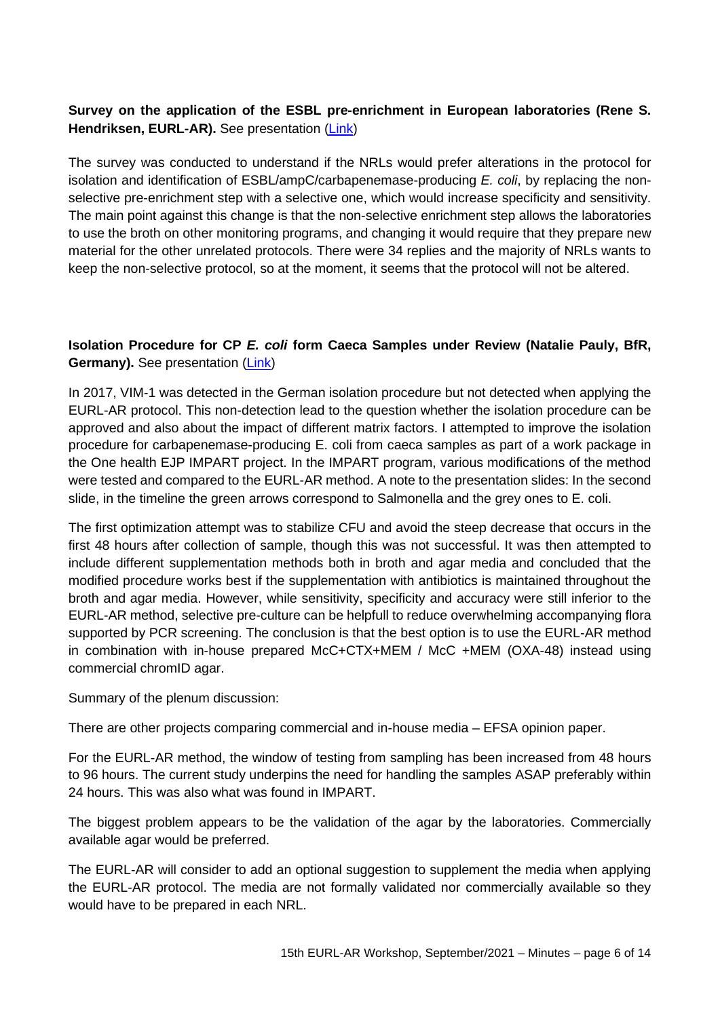# **Survey on the application of the ESBL pre-enrichment in European laboratories (Rene S. Hendriksen, EURL-AR).** See presentation [\(Link\)](https://www.eurl-ar.eu/CustomerData/Files/Folders/36-workshop-2021-september-virtual-meeting/605_7-eurl-esbl-survey.pdf)

The survey was conducted to understand if the NRLs would prefer alterations in the protocol for isolation and identification of ESBL/ampC/carbapenemase-producing *E. coli*, by replacing the nonselective pre-enrichment step with a selective one, which would increase specificity and sensitivity. The main point against this change is that the non-selective enrichment step allows the laboratories to use the broth on other monitoring programs, and changing it would require that they prepare new material for the other unrelated protocols. There were 34 replies and the majority of NRLs wants to keep the non-selective protocol, so at the moment, it seems that the protocol will not be altered.

## **Isolation Procedure for CP** *E. coli* **form Caeca Samples under Review (Natalie Pauly, BfR, Germany).** See presentation (*Link*)

In 2017, VIM-1 was detected in the German isolation procedure but not detected when applying the EURL-AR protocol. This non-detection lead to the question whether the isolation procedure can be approved and also about the impact of different matrix factors. I attempted to improve the isolation procedure for carbapenemase-producing E. coli from caeca samples as part of a work package in the One health EJP IMPART project. In the IMPART program, various modifications of the method were tested and compared to the EURL-AR method. A note to the presentation slides: In the second slide, in the timeline the green arrows correspond to Salmonella and the grey ones to E. coli.

The first optimization attempt was to stabilize CFU and avoid the steep decrease that occurs in the first 48 hours after collection of sample, though this was not successful. It was then attempted to include different supplementation methods both in broth and agar media and concluded that the modified procedure works best if the supplementation with antibiotics is maintained throughout the broth and agar media. However, while sensitivity, specificity and accuracy were still inferior to the EURL-AR method, selective pre-culture can be helpfull to reduce overwhelming accompanying flora supported by PCR screening. The conclusion is that the best option is to use the EURL-AR method in combination with in-house prepared McC+CTX+MEM / McC +MEM (OXA-48) instead using commercial chromID agar.

Summary of the plenum discussion:

There are other projects comparing commercial and in-house media – EFSA opinion paper.

For the EURL-AR method, the window of testing from sampling has been increased from 48 hours to 96 hours. The current study underpins the need for handling the samples ASAP preferably within 24 hours. This was also what was found in IMPART.

The biggest problem appears to be the validation of the agar by the laboratories. Commercially available agar would be preferred.

The EURL-AR will consider to add an optional suggestion to supplement the media when applying the EURL-AR protocol. The media are not formally validated nor commercially available so they would have to be prepared in each NRL.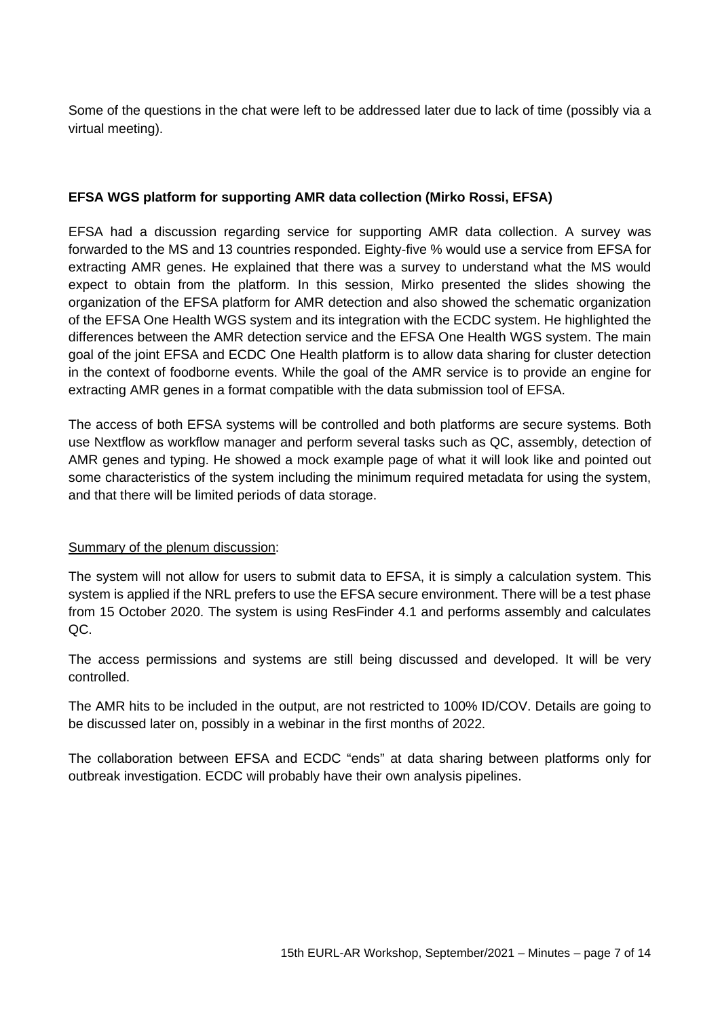Some of the questions in the chat were left to be addressed later due to lack of time (possibly via a virtual meeting).

## **EFSA WGS platform for supporting AMR data collection (Mirko Rossi, EFSA)**

EFSA had a discussion regarding service for supporting AMR data collection. A survey was forwarded to the MS and 13 countries responded. Eighty-five % would use a service from EFSA for extracting AMR genes. He explained that there was a survey to understand what the MS would expect to obtain from the platform. In this session, Mirko presented the slides showing the organization of the EFSA platform for AMR detection and also showed the schematic organization of the EFSA One Health WGS system and its integration with the ECDC system. He highlighted the differences between the AMR detection service and the EFSA One Health WGS system. The main goal of the joint EFSA and ECDC One Health platform is to allow data sharing for cluster detection in the context of foodborne events. While the goal of the AMR service is to provide an engine for extracting AMR genes in a format compatible with the data submission tool of EFSA.

The access of both EFSA systems will be controlled and both platforms are secure systems. Both use Nextflow as workflow manager and perform several tasks such as QC, assembly, detection of AMR genes and typing. He showed a mock example page of what it will look like and pointed out some characteristics of the system including the minimum required metadata for using the system, and that there will be limited periods of data storage.

#### Summary of the plenum discussion:

The system will not allow for users to submit data to EFSA, it is simply a calculation system. This system is applied if the NRL prefers to use the EFSA secure environment. There will be a test phase from 15 October 2020. The system is using ResFinder 4.1 and performs assembly and calculates QC.

The access permissions and systems are still being discussed and developed. It will be very controlled.

The AMR hits to be included in the output, are not restricted to 100% ID/COV. Details are going to be discussed later on, possibly in a webinar in the first months of 2022.

The collaboration between EFSA and ECDC "ends" at data sharing between platforms only for outbreak investigation. ECDC will probably have their own analysis pipelines.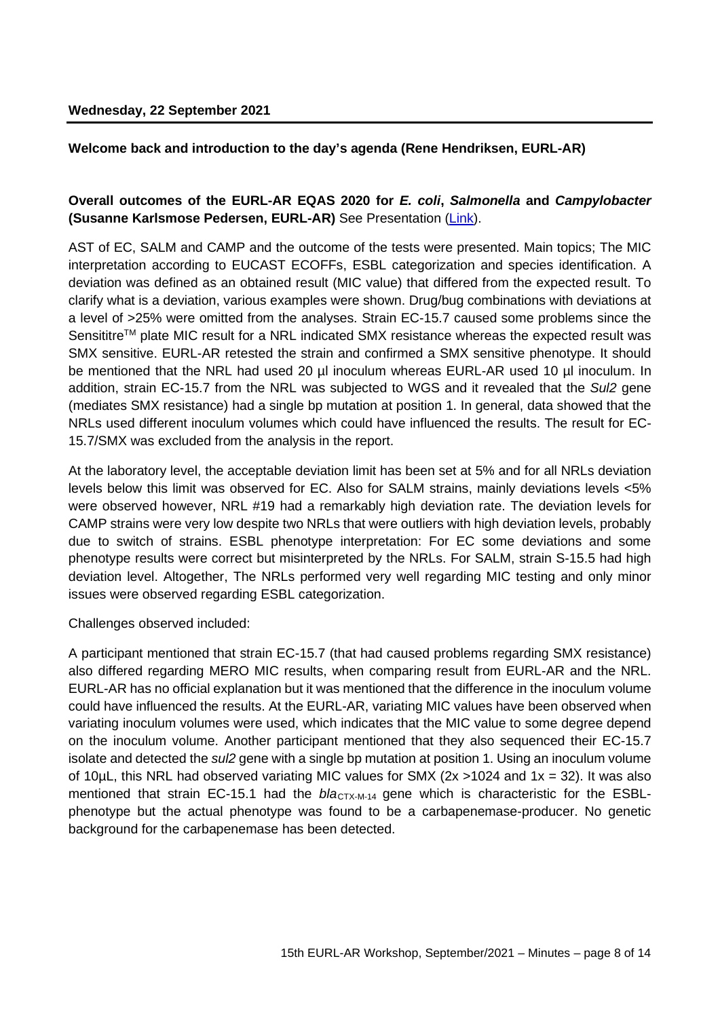### **Welcome back and introduction to the day's agenda (Rene Hendriksen, EURL-AR)**

## **Overall outcomes of the EURL-AR EQAS 2020 for** *E. coli***,** *Salmonella* **and** *Campylobacter* **(Susanne Karlsmose Pedersen, EURL-AR)** See Presentation [\(Link\)](https://www.eurl-ar.eu/CustomerData/Files/Folders/36-workshop-2021-september-virtual-meeting/606_10-overall-outcomes-of-the-eurl-ar-ast-eqas-2020.pdf).

AST of EC, SALM and CAMP and the outcome of the tests were presented. Main topics; The MIC interpretation according to EUCAST ECOFFs, ESBL categorization and species identification. A deviation was defined as an obtained result (MIC value) that differed from the expected result. To clarify what is a deviation, various examples were shown. Drug/bug combinations with deviations at a level of >25% were omitted from the analyses. Strain EC-15.7 caused some problems since the Sensititre<sup>TM</sup> plate MIC result for a NRL indicated SMX resistance whereas the expected result was SMX sensitive. EURL-AR retested the strain and confirmed a SMX sensitive phenotype. It should be mentioned that the NRL had used 20 µl inoculum whereas EURL-AR used 10 µl inoculum. In addition, strain EC-15.7 from the NRL was subjected to WGS and it revealed that the *Sul2* gene (mediates SMX resistance) had a single bp mutation at position 1. In general, data showed that the NRLs used different inoculum volumes which could have influenced the results. The result for EC-15.7/SMX was excluded from the analysis in the report.

At the laboratory level, the acceptable deviation limit has been set at 5% and for all NRLs deviation levels below this limit was observed for EC. Also for SALM strains, mainly deviations levels <5% were observed however, NRL #19 had a remarkably high deviation rate. The deviation levels for CAMP strains were very low despite two NRLs that were outliers with high deviation levels, probably due to switch of strains. ESBL phenotype interpretation: For EC some deviations and some phenotype results were correct but misinterpreted by the NRLs. For SALM, strain S-15.5 had high deviation level. Altogether, The NRLs performed very well regarding MIC testing and only minor issues were observed regarding ESBL categorization.

#### Challenges observed included:

A participant mentioned that strain EC-15.7 (that had caused problems regarding SMX resistance) also differed regarding MERO MIC results, when comparing result from EURL-AR and the NRL. EURL-AR has no official explanation but it was mentioned that the difference in the inoculum volume could have influenced the results. At the EURL-AR, variating MIC values have been observed when variating inoculum volumes were used, which indicates that the MIC value to some degree depend on the inoculum volume. Another participant mentioned that they also sequenced their EC-15.7 isolate and detected the *sul2* gene with a single bp mutation at position 1. Using an inoculum volume of 10uL, this NRL had observed variating MIC values for SMX  $(2x > 1024$  and  $1x = 32)$ . It was also mentioned that strain EC-15.1 had the  $b/a<sub>CTX-M-14</sub>$  gene which is characteristic for the ESBLphenotype but the actual phenotype was found to be a carbapenemase-producer. No genetic background for the carbapenemase has been detected.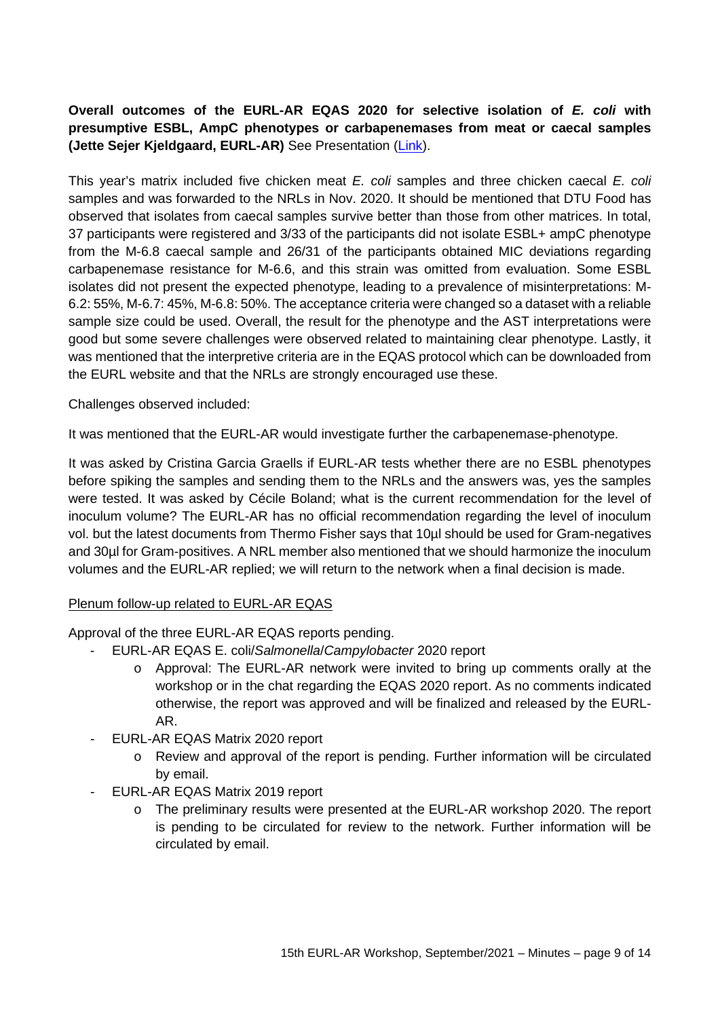# **Overall outcomes of the EURL-AR EQAS 2020 for selective isolation of** *E. coli* **with presumptive ESBL, AmpC phenotypes or carbapenemases from meat or caecal samples (Jette Sejer Kjeldgaard, EURL-AR)** See Presentation [\(Link\)](https://www.eurl-ar.eu/CustomerData/Files/Folders/36-workshop-2021-september-virtual-meeting/607_11-matrix-eqas-2020-jetk-forws.pdf).

This year's matrix included five chicken meat *E. coli* samples and three chicken caecal *E. coli* samples and was forwarded to the NRLs in Nov. 2020. It should be mentioned that DTU Food has observed that isolates from caecal samples survive better than those from other matrices. In total, 37 participants were registered and 3/33 of the participants did not isolate ESBL+ ampC phenotype from the M-6.8 caecal sample and 26/31 of the participants obtained MIC deviations regarding carbapenemase resistance for M-6.6, and this strain was omitted from evaluation. Some ESBL isolates did not present the expected phenotype, leading to a prevalence of misinterpretations: M-6.2: 55%, M-6.7: 45%, M-6.8: 50%. The acceptance criteria were changed so a dataset with a reliable sample size could be used. Overall, the result for the phenotype and the AST interpretations were good but some severe challenges were observed related to maintaining clear phenotype. Lastly, it was mentioned that the interpretive criteria are in the EQAS protocol which can be downloaded from the EURL website and that the NRLs are strongly encouraged use these.

Challenges observed included:

It was mentioned that the EURL-AR would investigate further the carbapenemase-phenotype.

It was asked by Cristina Garcia Graells if EURL-AR tests whether there are no ESBL phenotypes before spiking the samples and sending them to the NRLs and the answers was, yes the samples were tested. It was asked by Cécile Boland; what is the current recommendation for the level of inoculum volume? The EURL-AR has no official recommendation regarding the level of inoculum vol. but the latest documents from Thermo Fisher says that 10µl should be used for Gram-negatives and 30µl for Gram-positives. A NRL member also mentioned that we should harmonize the inoculum volumes and the EURL-AR replied; we will return to the network when a final decision is made.

## Plenum follow-up related to EURL-AR EQAS

Approval of the three EURL-AR EQAS reports pending.

- EURL-AR EQAS E. coli/*Salmonella*/*Campylobacter* 2020 report
	- o Approval: The EURL-AR network were invited to bring up comments orally at the workshop or in the chat regarding the EQAS 2020 report. As no comments indicated otherwise, the report was approved and will be finalized and released by the EURL-AR.
- EURL-AR EQAS Matrix 2020 report
	- o Review and approval of the report is pending. Further information will be circulated by email.
- EURL-AR EQAS Matrix 2019 report
	- o The preliminary results were presented at the EURL-AR workshop 2020. The report is pending to be circulated for review to the network. Further information will be circulated by email.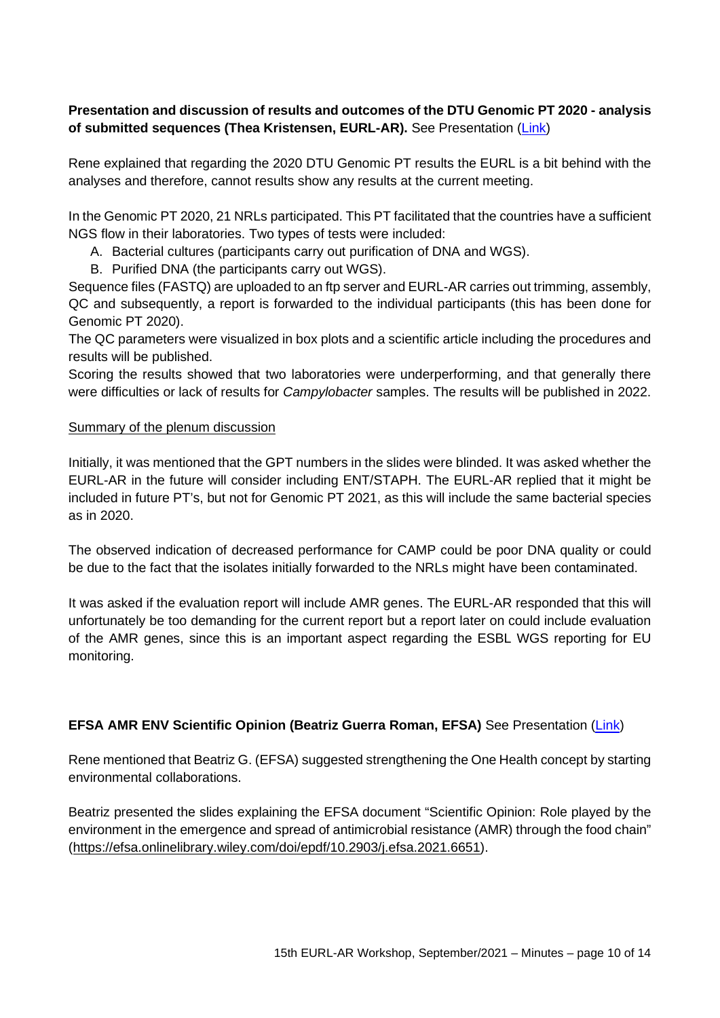# **Presentation and discussion of results and outcomes of the DTU Genomic PT 2020 - analysis of submitted sequences (Thea Kristensen, EURL-AR).** See Presentation [\(Link\)](https://www.eurl-ar.eu/CustomerData/Files/Folders/36-workshop-2021-september-virtual-meeting/611_12-gpt-2020-thekr.pdf)

Rene explained that regarding the 2020 DTU Genomic PT results the EURL is a bit behind with the analyses and therefore, cannot results show any results at the current meeting.

In the Genomic PT 2020, 21 NRLs participated. This PT facilitated that the countries have a sufficient NGS flow in their laboratories. Two types of tests were included:

- A. Bacterial cultures (participants carry out purification of DNA and WGS).
- B. Purified DNA (the participants carry out WGS).

Sequence files (FASTQ) are uploaded to an ftp server and EURL-AR carries out trimming, assembly, QC and subsequently, a report is forwarded to the individual participants (this has been done for Genomic PT 2020).

The QC parameters were visualized in box plots and a scientific article including the procedures and results will be published.

Scoring the results showed that two laboratories were underperforming, and that generally there were difficulties or lack of results for *Campylobacter* samples. The results will be published in 2022.

#### Summary of the plenum discussion

Initially, it was mentioned that the GPT numbers in the slides were blinded. It was asked whether the EURL-AR in the future will consider including ENT/STAPH. The EURL-AR replied that it might be included in future PT's, but not for Genomic PT 2021, as this will include the same bacterial species as in 2020.

The observed indication of decreased performance for CAMP could be poor DNA quality or could be due to the fact that the isolates initially forwarded to the NRLs might have been contaminated.

It was asked if the evaluation report will include AMR genes. The EURL-AR responded that this will unfortunately be too demanding for the current report but a report later on could include evaluation of the AMR genes, since this is an important aspect regarding the ESBL WGS reporting for EU monitoring.

## **EFSA AMR ENV Scientific Opinion (Beatriz Guerra Roman, EFSA)** See Presentation [\(Link\)](https://www.eurl-ar.eu/CustomerData/Files/Folders/36-workshop-2021-september-virtual-meeting/621_13-amr-environm-final-eurl-ar-19-09-2021-online.pdf)

Rene mentioned that Beatriz G. (EFSA) suggested strengthening the One Health concept by starting environmental collaborations.

Beatriz presented the slides explaining the EFSA document "Scientific Opinion: Role played by the environment in the emergence and spread of antimicrobial resistance (AMR) through the food chain" [\(https://efsa.onlinelibrary.wiley.com/doi/epdf/10.2903/j.efsa.2021.6651\)](https://efsa.onlinelibrary.wiley.com/doi/epdf/10.2903/j.efsa.2021.6651).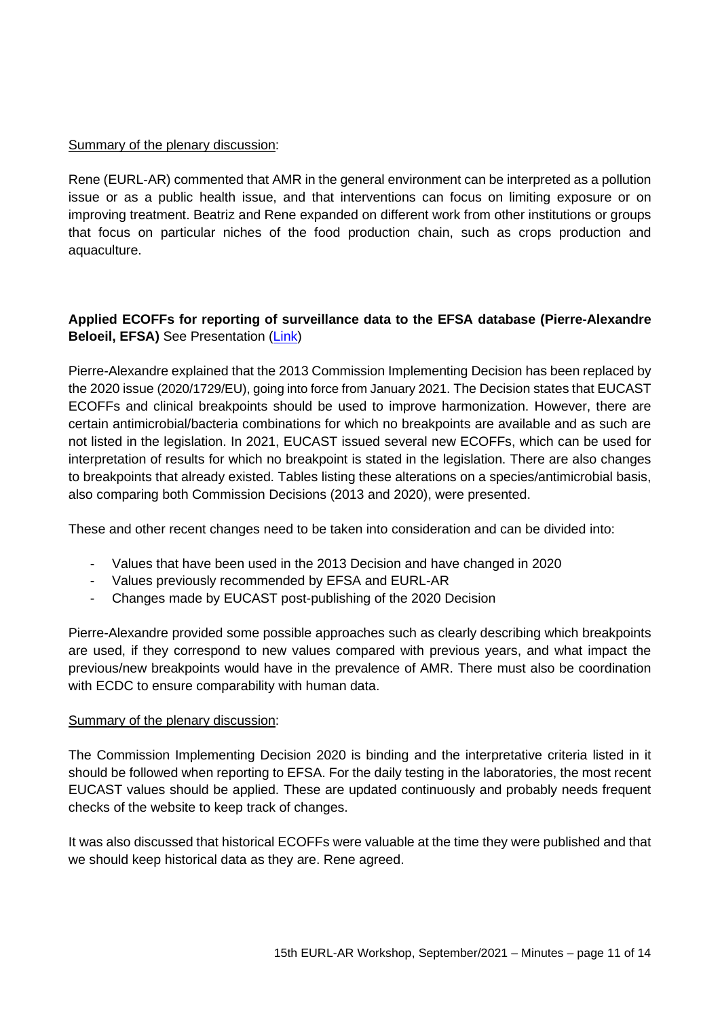## Summary of the plenary discussion:

Rene (EURL-AR) commented that AMR in the general environment can be interpreted as a pollution issue or as a public health issue, and that interventions can focus on limiting exposure or on improving treatment. Beatriz and Rene expanded on different work from other institutions or groups that focus on particular niches of the food production chain, such as crops production and aquaculture.

## **Applied ECOFFs for reporting of surveillance data to the EFSA database (Pierre-Alexandre Beloeil, EFSA)** See Presentation [\(Link\)](https://www.eurl-ar.eu/CustomerData/Files/Folders/36-workshop-2021-september-virtual-meeting/613_14-2-eurl-ar-workshop-applied-ecoffs-2.pdf)

Pierre-Alexandre explained that the 2013 Commission Implementing Decision has been replaced by the 2020 issue (2020/1729/EU), going into force from January 2021. The Decision states that EUCAST ECOFFs and clinical breakpoints should be used to improve harmonization. However, there are certain antimicrobial/bacteria combinations for which no breakpoints are available and as such are not listed in the legislation. In 2021, EUCAST issued several new ECOFFs, which can be used for interpretation of results for which no breakpoint is stated in the legislation. There are also changes to breakpoints that already existed. Tables listing these alterations on a species/antimicrobial basis, also comparing both Commission Decisions (2013 and 2020), were presented.

These and other recent changes need to be taken into consideration and can be divided into:

- Values that have been used in the 2013 Decision and have changed in 2020
- Values previously recommended by EFSA and EURL-AR
- Changes made by EUCAST post-publishing of the 2020 Decision

Pierre-Alexandre provided some possible approaches such as clearly describing which breakpoints are used, if they correspond to new values compared with previous years, and what impact the previous/new breakpoints would have in the prevalence of AMR. There must also be coordination with ECDC to ensure comparability with human data.

#### Summary of the plenary discussion:

The Commission Implementing Decision 2020 is binding and the interpretative criteria listed in it should be followed when reporting to EFSA. For the daily testing in the laboratories, the most recent EUCAST values should be applied. These are updated continuously and probably needs frequent checks of the website to keep track of changes.

It was also discussed that historical ECOFFs were valuable at the time they were published and that we should keep historical data as they are. Rene agreed.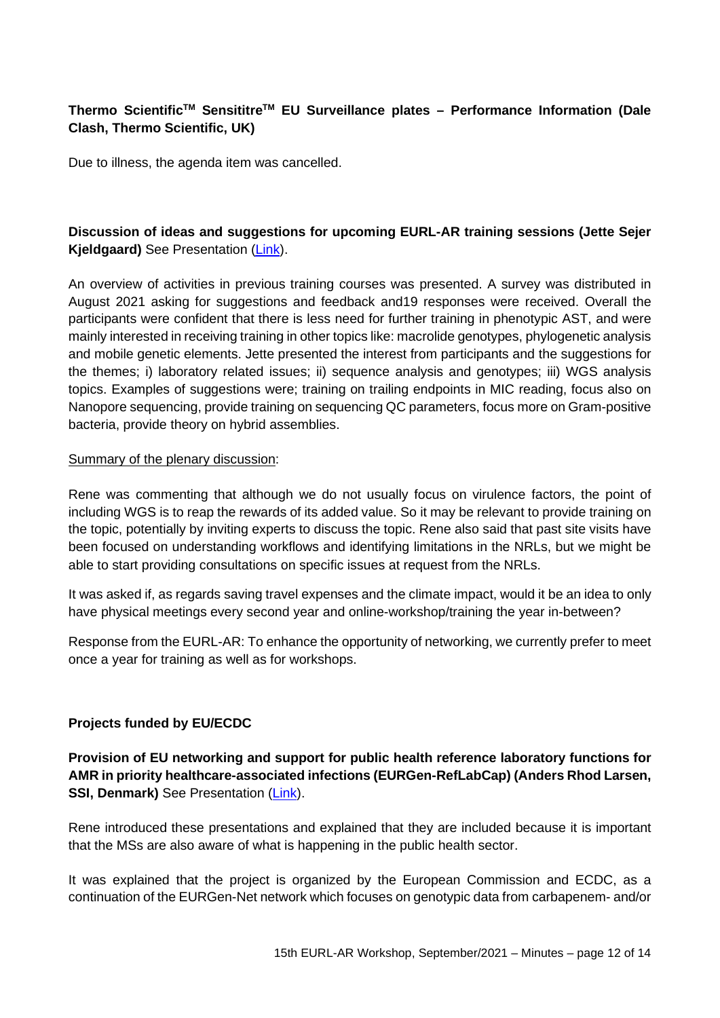# **Thermo ScientificTM SensititreTM EU Surveillance plates – Performance Information (Dale Clash, Thermo Scientific, UK)**

Due to illness, the agenda item was cancelled.

## **Discussion of ideas and suggestions for upcoming EURL-AR training sessions (Jette Sejer Kjeldgaard)** See Presentation [\(Link\)](https://www.eurl-ar.eu/CustomerData/Files/Folders/36-workshop-2021-september-virtual-meeting/614_16-eurl-ar-tc-survey.pdf).

An overview of activities in previous training courses was presented. A survey was distributed in August 2021 asking for suggestions and feedback and19 responses were received. Overall the participants were confident that there is less need for further training in phenotypic AST, and were mainly interested in receiving training in other topics like: macrolide genotypes, phylogenetic analysis and mobile genetic elements. Jette presented the interest from participants and the suggestions for the themes; i) laboratory related issues; ii) sequence analysis and genotypes; iii) WGS analysis topics. Examples of suggestions were; training on trailing endpoints in MIC reading, focus also on Nanopore sequencing, provide training on sequencing QC parameters, focus more on Gram-positive bacteria, provide theory on hybrid assemblies.

#### Summary of the plenary discussion:

Rene was commenting that although we do not usually focus on virulence factors, the point of including WGS is to reap the rewards of its added value. So it may be relevant to provide training on the topic, potentially by inviting experts to discuss the topic. Rene also said that past site visits have been focused on understanding workflows and identifying limitations in the NRLs, but we might be able to start providing consultations on specific issues at request from the NRLs.

It was asked if, as regards saving travel expenses and the climate impact, would it be an idea to only have physical meetings every second year and online-workshop/training the year in-between?

Response from the EURL-AR: To enhance the opportunity of networking, we currently prefer to meet once a year for training as well as for workshops.

#### **Projects funded by EU/ECDC**

**Provision of EU networking and support for public health reference laboratory functions for AMR in priority healthcare-associated infections (EURGen-RefLabCap) (Anders Rhod Larsen, SSI, Denmark)** See Presentation [\(Link\)](https://www.eurl-ar.eu/CustomerData/Files/Folders/36-workshop-2021-september-virtual-meeting/608_17-arl-eurgen-reflabcap-eu-nrl.pdf).

Rene introduced these presentations and explained that they are included because it is important that the MSs are also aware of what is happening in the public health sector.

It was explained that the project is organized by the European Commission and ECDC, as a continuation of the EURGen-Net network which focuses on genotypic data from carbapenem- and/or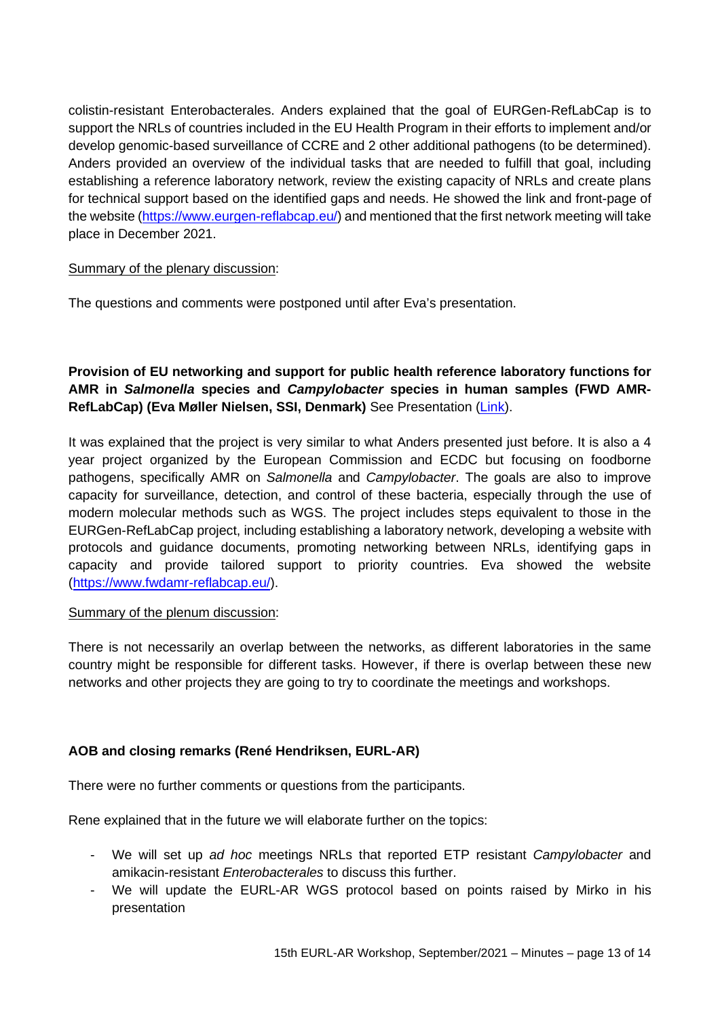colistin-resistant Enterobacterales. Anders explained that the goal of EURGen-RefLabCap is to support the NRLs of countries included in the EU Health Program in their efforts to implement and/or develop genomic-based surveillance of CCRE and 2 other additional pathogens (to be determined). Anders provided an overview of the individual tasks that are needed to fulfill that goal, including establishing a reference laboratory network, review the existing capacity of NRLs and create plans for technical support based on the identified gaps and needs. He showed the link and front-page of the website [\(https://www.eurgen-reflabcap.eu/\)](https://www.eurgen-reflabcap.eu/) and mentioned that the first network meeting will take place in December 2021.

#### Summary of the plenary discussion:

The questions and comments were postponed until after Eva's presentation.

# **Provision of EU networking and support for public health reference laboratory functions for AMR in** *Salmonella* **species and** *Campylobacter* **species in human samples (FWD AMR-RefLabCap) (Eva Møller Nielsen, SSI, Denmark)** See Presentation [\(Link\)](https://www.eurl-ar.eu/CustomerData/Files/Folders/36-workshop-2021-september-virtual-meeting/615_18-fwd-amr-reflabcap-at-the-eurl-ar-workshop-220921.pdf).

It was explained that the project is very similar to what Anders presented just before. It is also a 4 year project organized by the European Commission and ECDC but focusing on foodborne pathogens, specifically AMR on *Salmonella* and *Campylobacter*. The goals are also to improve capacity for surveillance, detection, and control of these bacteria, especially through the use of modern molecular methods such as WGS. The project includes steps equivalent to those in the EURGen-RefLabCap project, including establishing a laboratory network, developing a website with protocols and guidance documents, promoting networking between NRLs, identifying gaps in capacity and provide tailored support to priority countries. Eva showed the website [\(https://www.fwdamr-reflabcap.eu/\)](https://www.fwdamr-reflabcap.eu/).

#### Summary of the plenum discussion:

There is not necessarily an overlap between the networks, as different laboratories in the same country might be responsible for different tasks. However, if there is overlap between these new networks and other projects they are going to try to coordinate the meetings and workshops.

## **AOB and closing remarks (René Hendriksen, EURL-AR)**

There were no further comments or questions from the participants.

Rene explained that in the future we will elaborate further on the topics:

- We will set up *ad hoc* meetings NRLs that reported ETP resistant *Campylobacter* and amikacin-resistant *Enterobacterales* to discuss this further.
- We will update the EURL-AR WGS protocol based on points raised by Mirko in his presentation